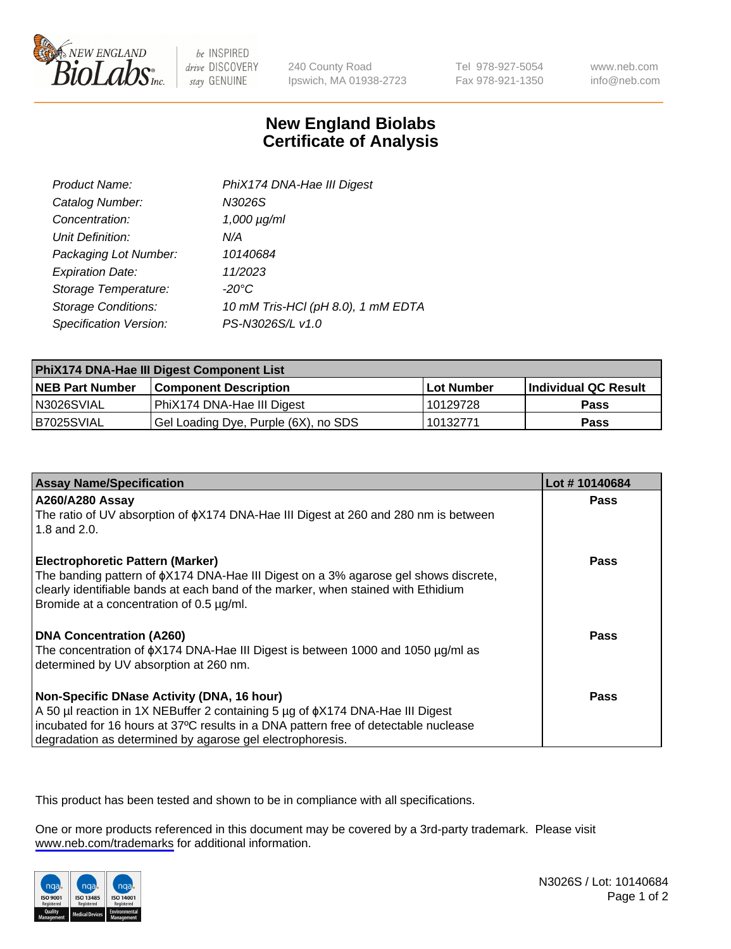

be INSPIRED drive DISCOVERY stay GENUINE

240 County Road Ipswich, MA 01938-2723 Tel 978-927-5054 Fax 978-921-1350

www.neb.com info@neb.com

## **New England Biolabs Certificate of Analysis**

| Product Name:              | PhiX174 DNA-Hae III Digest         |
|----------------------------|------------------------------------|
| Catalog Number:            | N3026S                             |
| Concentration:             | $1,000 \mu g/ml$                   |
| Unit Definition:           | N/A                                |
| Packaging Lot Number:      | 10140684                           |
| <b>Expiration Date:</b>    | 11/2023                            |
| Storage Temperature:       | -20°C                              |
| <b>Storage Conditions:</b> | 10 mM Tris-HCl (pH 8.0), 1 mM EDTA |
| Specification Version:     | PS-N3026S/L v1.0                   |

| PhiX174 DNA-Hae III Digest Component List |                                      |                   |                      |  |
|-------------------------------------------|--------------------------------------|-------------------|----------------------|--|
| <b>NEB Part Number</b>                    | <b>Component Description</b>         | <b>Lot Number</b> | Individual QC Result |  |
| N3026SVIAL                                | PhiX174 DNA-Hae III Digest           | 10129728          | <b>Pass</b>          |  |
| B7025SVIAL                                | Gel Loading Dye, Purple (6X), no SDS | 10132771          | <b>Pass</b>          |  |

| <b>Assay Name/Specification</b>                                                                                                                                                                                            | Lot #10140684 |
|----------------------------------------------------------------------------------------------------------------------------------------------------------------------------------------------------------------------------|---------------|
| A260/A280 Assay                                                                                                                                                                                                            | <b>Pass</b>   |
| The ratio of UV absorption of $\phi$ X174 DNA-Hae III Digest at 260 and 280 nm is between<br>1.8 and $2.0$ .                                                                                                               |               |
| <b>Electrophoretic Pattern (Marker)</b>                                                                                                                                                                                    | Pass          |
| The banding pattern of $\phi$ X174 DNA-Hae III Digest on a 3% agarose gel shows discrete,<br>clearly identifiable bands at each band of the marker, when stained with Ethidium<br>Bromide at a concentration of 0.5 µg/ml. |               |
| <b>DNA Concentration (A260)</b>                                                                                                                                                                                            | Pass          |
| The concentration of $\phi$ X174 DNA-Hae III Digest is between 1000 and 1050 µg/ml as<br>determined by UV absorption at 260 nm.                                                                                            |               |
| Non-Specific DNase Activity (DNA, 16 hour)                                                                                                                                                                                 | <b>Pass</b>   |
| A 50 µl reaction in 1X NEBuffer 2 containing 5 µg of $\phi$ X174 DNA-Hae III Digest                                                                                                                                        |               |
| incubated for 16 hours at 37°C results in a DNA pattern free of detectable nuclease                                                                                                                                        |               |
| degradation as determined by agarose gel electrophoresis.                                                                                                                                                                  |               |

This product has been tested and shown to be in compliance with all specifications.

One or more products referenced in this document may be covered by a 3rd-party trademark. Please visit <www.neb.com/trademarks>for additional information.